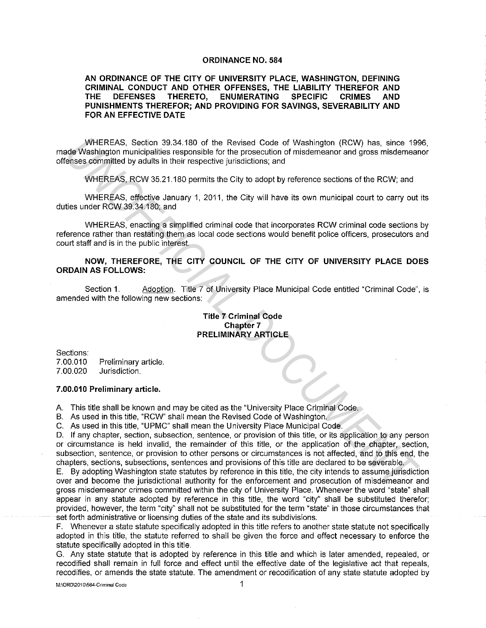### **ORDINANCE NO. 584**

# **AN ORDINANCE OF THE CITY OF UNIVERSITY PLACE, WASHINGTON, DEFINING CRIMINAL CONDUCT AND OTHER OFFENSES, THE LIABILITY THEREFOR AND THE DEFENSES THERETO, ENUMERATING SPECIFIC CRIMES AND PUNISHMENTS THEREFOR; AND PROVIDING FOR SAVINGS, SEVERABILITY AND FOR AN EFFECTIVE DATE**

WHEREAS, Section 39.34.180 of the Revised Code of Washington (RCW) has, since 1996, made Washington municipalities responsible for the prosecution of misdemeanor and gross misdemeanor offenses committed by adults in their respective jurisdictions; and

WHEREAS, RCW 35.21.180 permits the City to adopt by reference sections of the RCW; and

WHEREAS, effective January 1, 2011, the City will have its own municipal court to carry out its duties under RCW 39.34.180; and

WHEREAS, enacting a simplified criminal code that incorporates RCW criminal code sections by reference rather than restating them as local code sections would benefit police officers, prosecutors and court staff and is in the public interest.

**NOW, THEREFORE, THE CITY COUNCIL OF THE CITY OF UNIVERSITY PLACE DOES ORDAIN AS FOLLOWS:** 

Section 1. Adoption. Title 7 of University Place Municipal Code entitled "Criminal Code", is amended with the following new sections:

# **Title 7 Criminal Code Chapter 7 PRELIMINARY ARTICLE**

Sections: 7.00.010 7.00.020 Preliminary article. Jurisdiction.

#### **7.00.010 Preliminary article.**

A. This title shall be known and may be cited as the "University Place Criminal Code.

B. As used **in** this title, "RCW" shall mean the Revised Code of Washington.

C. As used **in** this title, "UPMC" shall mean the University Place Municipal Code.

D. If any chapter, section, subsection, sentence, or provision of this title, or its application to any person or circumstance is held invalid, the remainder of this title, or the application of the chapter, section, subsection, sentence, or provision to other persons or circumstances is not affected, and to this end, the chapters, sections, subsections, sentences and provisions of this title are declared to be severable. WHEREAS, eaction 33 41380 of the Revised Code of Washington (RCW) has, since 198<br> **Mashington** municipalities responsible for the presecution of misdemeanor and gross misdemean<br>
dele Washington municipalities responsible f

E. By adopting Washington state statutes by reference **in** this title, the city intends to assume jurisdiction over and become the jurisdictional authority for the enforcement and prosecution of misdemeanor and gross misdemeanor crimes committed within the city of University Place. Whenever the word "state" shall appear in any statute adopted by reference in this title, the word "city" shall be substituted therefor; provided, however, the term "city" shall not be substituted for the term "state" **in** those circumstances that set forth administrative or licensing duties of the state and its subdivisions.

F. Whenever a state statute specifically adopted in this title refers to another state statute not specifically adopted in this title, the statute referred to shall be given the force and effect necessary to enforce the statute specifically adopted in this title.

G. Any state statute that is adopted by reference in this title and which is later amended, repealed, or recodified shall remain in full force and effect until the effective date of the legislative act that repeals, recodifies, or amends the state statute. The amendment or recodification of any state statute adopted by

**M:\ORD\2010\584-Criminal Code 1**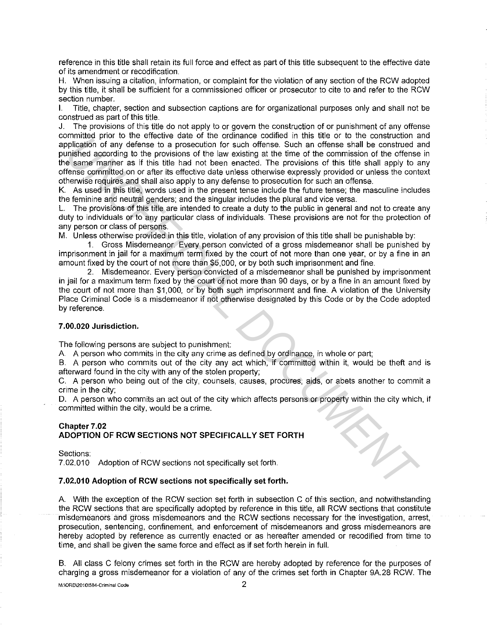reference in this title shall retain its full force and effect as part of this title subsequent to the effective date of its amendment or recodification.

H. When issuing a citation, information, or complaint for the violation of any section of the RCW adopted by this title, it shall be sufficient for a commissioned officer or prosecutor to cite to and refer to the RCW section number.

I. Title, chapter, section and subsection captions are for organizational purposes only and shall not be construed as part of this title.

J. The provisions of this title do not apply to or govern the construction of or punishment of any offense committed prior to the effective date of the ordinance codified in this title or to the construction and application of any defense to a prosecution for such offense. Such an offense shall be construed and punished according to the provisions of the law existing at the time of the commission of the offense in the same manner as if this title had not been enacted. The provisions of this title shall apply to any offense committed on or after its effective date unless otherwise expressly provided or unless the context otherwise requires and shall also apply to any defense to prosecution for such an offense. minimated according to the enjack one of the law action of the column of the two controls in the control of the method controls and the control of the solution of the solution of the law axis of the law axis of the demonst

K. As used in this title, words used in the present tense include the future tense; the masculine includes the feminine and neutral genders; and the singular includes the plural and vice versa.

L. The provisions of this title are intended to create a duty to the public in general and not to create any duty to individuals or to any particular class of individuals. These provisions are not for the protection of any person or class of persons.

M. Unless otherwise provided in this title, violation of any provision of this title shall be punishable by:

1. Gross Misdemeanor. Every person convicted of a gross misdemeanor shall be punished by imprisonment in jail for a maximum term fixed by the court of not more than one year, or by a fine in an amount fixed by the court of not more than \$5,000, or by both such imprisonment and fine.

2. Misdemeanor. Every person convicted of a misdemeanor shall be punished by imprisonment in jail for a maximum term fixed by the court of not more than 90 days, or by a fine in an amount fixed by the court of not more than \$1,000, or by both such imprisonment and fine. A violation of the University Place Criminal Code is a misdemeanor if not otherwise designated by this Code or by the Code adopted by reference.

# **7 .00.020 Jurisdiction.**

The following persons are subject to punishment:

A A person who commits in the city any crime as defined by ordinance, in whole or part;

B. A person who commits out of the city any act which, if committed within it, would be theft and is afterward found in the city with any of the stolen property;

C. A person who being out of the city, counsels, causes, procures, aids, or abets another to commit a crime in the city;

D. A person who commits an act out of the city which affects persons or property within the city which, if committed within the city, would be a crime.

# **Chapter 7 .02 ADOPTION OF RCW SECTIONS NOT SPECIFICALLY SET FORTH**

Sections:

7.02.010 Adoption of RCW sections not specifically set forth.

# **7.02.010 Adoption of RCW sections not specifically set forth.**

A With the exception of the RCW section set forth in subsection C of this section, and notwithstanding the RCW sections that are specifically adopted by reference in this title, all RCW sections that constitute misdemeanors and gross misdemeanors and the RCW sections necessary for the investigation, arrest, prosecution, sentencing, confinement, and enforcement of misdemeanors and gross misdemeanors are hereby adopted by reference as currently enacted or as hereafter amended or recodified from time to time, and shall be given the same force and effect as if set forth herein in full.

B. All class C felony crimes set forth in the RCW are hereby adopted by reference for the purposes of charging a gross misdemeanor for a violation of any of the crimes set forth in Chapter 9A28 RCW. The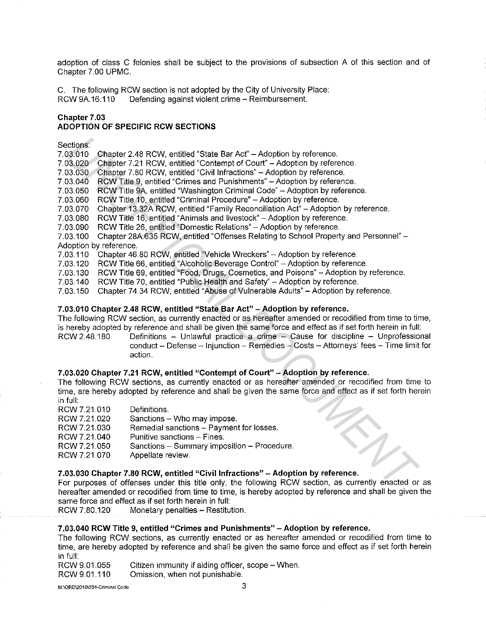adoption of class C felonies shall be subject to the provisions of subsection A of this section and of Chapter 7.00 UPMC.

C. The following RCW section is not adopted by the City of University Place: RCW 9A.16.110 Defending against violent crime - Reimbursement.

### **Chapter 7 .03 ADOPTION OF SPECIFIC RCW SECTIONS**

### Sections:

7.03.010 Chapter 2.48 RCW, entitled "State Bar Act" - Adoption by reference. 7.03.020 Chapter 7.21 RCW, entitled "Contempt of Court" - Adoption by reference. 7.03.030 Chapter 7.80 RCW, entitled "Civil Infractions" - Adoption by reference. 7.03.040 RCW Title 9, entitled "Crimes and Punishments" -Adoption by reference. 7.03.050 RCW Title 9A, entitled "Washington Criminal Code" -Adoption by reference. 7.03.060 RCW Title 10, entitled "Criminal Procedure" - Adoption by reference. 7.03.070 Chapter 13.32A RCW, entitled "Family Reconciliation Act" - Adoption by reference. 7.03.080 RCW Title 16, entitled "Animals and livestock" - Adoption by reference. 7.03.090 RCW Title 26, entitled "Domestic Relations" -Adoption by reference. 7.03.100 Chapter 28A.635 RCW, entitled "Offenses Relating to School Property and Personnel" - Adoption by reference. 7.03.110 Chapter 46.80 RCW, entitled "Vehicle Wreckers" -Adoption by reference. 7.03.120 RCW Title 66, entitled "Alcoholic Beverage Control" -Adoption by reference. 7.03.130 RCW Title 69, entitled "Food, Drugs, Cosmetics, and Poisons" - Adoption by reference.<br>7.03.140 RCW Title 70, entitled "Public Health and Safety" - Adoption by reference. RCW Title 70, entitled "Public Health and Safety" - Adoption by reference. 7.03.150 Chapter 74.34 RCW, entitled "Abuse of Vulnerable Adults" -Adoption by reference. actions<br>
03.100 Chapter 2.48 RCW, entitled "State Bar Act" – Adoption by reference.<br>
03.020 Chapter 7.21 RCW, emitted "Contempt of Court" – Adoption by reference.<br>
03.020 Chapter 7.89 RCW united "Coll Infractions" – Adopti

# **7.03.010 Chapter 2.48 RCW, entitled "State Bar Act" -Adoption by reference.**

The following RCW section, as currently enacted or as hereafter amended or recodified from time to time, is hereby adopted by reference and shall be given the same force and effect as if set forth herein in full:

RCW 2.48.180 Definitions - Unlawful practice a crime - Cause for discipline - Unprofessional conduct - Defense - Injunction - Remedies - Costs - Attorneys' fees - Time limit for action.

# **7.03.020 Chapter 7.21 RCW, entitled "Contempt of Court" -Adoption by reference.**

The following RCW sections, as currently enacted or as hereafter amended or recodified from time to time, are hereby adopted by reference and shall be given the same force and effect as if set forth herein in full:

- RCW7.21.010 Definitions.
- RCW 7.21.020 RCW 7.21.030 RCW 7.21.040 RCW 7.21.050 RCW 7.21.070 Sanctions - Who may impose. Remedial sanctions - Payment for losses. Punitive sanctions - Fines. Sanctions - Summary imposition - Procedure. Appellate review.

# **7.03.030 Chapter 7.80 RCW, entitled "Civil Infractions" -Adoption by reference.**

For purposes of offenses under this title only, the following RCW section, as currently enacted or as hereafter amended or recodified from time to time, is hereby adopted by reference and shall be given the same force and effect as if set forth herein in full:

RCW 7.80.120 Monetary penalties - Restitution.

# **7 .03.040 RCW Title 9, entitled "Crimes and Punishments" - Adoption by reference.**

- RCW 9.01.055 Citizen immunity if aiding officer, scope - When.
- RCW 9.01.110 Omission, when not punishable.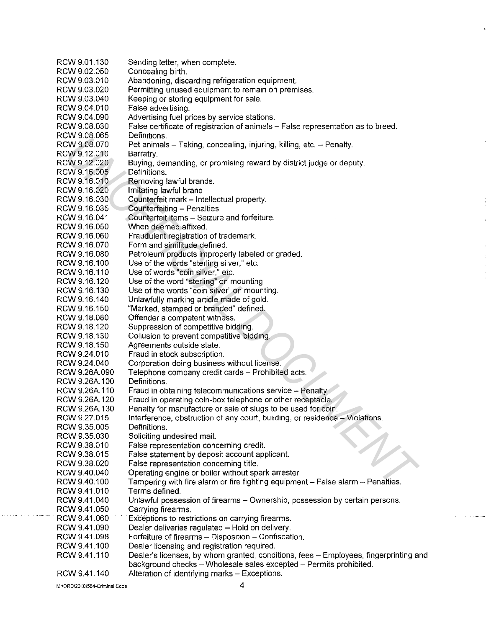RCW 9.01.130 RCW 9.02.050 RCW 9.03.010 RCW 9.03.020 RCW 9.03.040 RCW 9.04.010 RCW 9.04.090 RCW 9.08.030 RCW9.08065 RCW 9.08.070 RCW 9.12.010 RCW 9.12.020 RCW 9.16.005 RCW 9.16.010 RCW 9.16.020 RCW 9.16.030 RCW916.035 RCW9.16.041 RCW9.16.050 RCW9.16.060 RCW 9.16.070 RCW9.16.080 RCW9.16.100 RCW9.16.110 RCW9.16.120 RCW 9.16.130 RCW 9.16.140 RCW9.16.150 RCW9.18.080 RCW 9.18.120 RCW9.18.130 RCW9.18.150 RCW 9.24.010 RCW 9.24.040 RCW 9.26A.090 RCW 9.26A.100 RCW 9.26A.110 RCW 9.26A.120 RCW 9.26A.130 RCW 9.27.015 RCW 9.35.005 RCW 9.35.030 RCW 9.38.010 RCW 9.38.015 RCW 9.38.020 RCW 9.40.040 RCW 9.40.100 RCW 9.41.010 RCW9.41.040 RCW 9.41.050 RCW9.41.060 RCW 9.41.090 RCW 9.41.098 RCW 9.41.100 RCW9.41.110 RCW 9.41.140 Sending letter, when complete. Concealing birth. Abandoning, discarding refrigeration equipment. Permitting unused equipment to remain on premises. Keeping or storing equipment for sale. False advertising. Advertising fuel prices by service stations. False certificate of registration of animals - False representation as to breed. Definitions. Pet animals - Taking, concealing, injuring, killing, etc. - Penalty. Barratry. Buying, demanding, or promising reward by district judge or deputy. Definitions. Removing lawful brands. Imitating lawful brand. Counterfeit mark - Intellectual property. Counterfeiting - Penalties. Counterfeit items - Seizure and forfeiture. When deemed affixed. Fraudulent registration of trademark. Form and similitude defined. Petroleum products improperly labeled or graded. Use of the words "sterling silver," etc. Use of words "coin silver," etc. Use of the word "sterling" on mounting. Use of the words "coin silver" on mounting. Unlawfully marking article made of gold. "Marked, stamped or branded" defined. Offender a competent witness. Suppression of competitive bidding. Collusion to prevent competitive bidding. Agreements outside state. Fraud in stock subscription. Corporation doing business without license. Telephone company credit cards - Prohibited acts. Definitions. Fraud in obtaining telecommunications service - Penalty. Fraud in operating coin-box telephone or other receptacle. Penalty for manufacture or sale of slugs to be used for coin. Interference, obstruction of any court, building, or residence - Violations. Definitions. Soliciting undesired mail. False representation concerning credit. False statement by deposit account applicant. False representation concerning title. Operating engine or boiler without spark arrester. Tampering with fire alarm or fire fighting equipment  $-$  False alarm  $-$  Penalties. Terms defined. Unlawful possession of firearms - Ownership, possession by certain persons. Carrying firearms. Exceptions to restrictions on carrying firearms. Dealer deliveries regulated - Hold on delivery. Forfeiture of firearms - Disposition - Confiscation. Dealer licensing and registration required. Dealer's licenses, by whom granted, conditions, fees - Employees, fingerprinting and background checks - Wholesale sales excepted - Permits prohibited. Alteration of identifying marks - Exceptions. VV 9.06.050<br>WV 9.06.070<br>
2010 Barratry, demanding, or promising reward by district judge or deputy<br>
2W 9.12.000 Barrations and the main corrections of the state of the particular or experiments<br>
2W 9.16.000 Definitions and

**M:\ORD\2010\584-Criminal Code**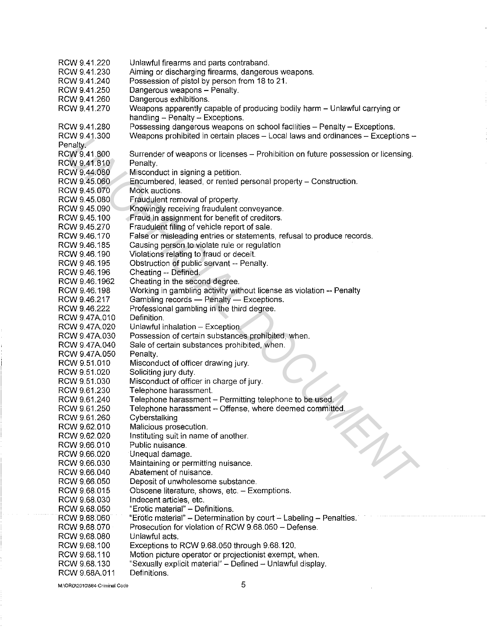RCW 9.41.220 RCW 9.41.230 RCW 9.41.240 RCW 9.41.250 RCW 9.41.260 RCW 9.41.270 RCW 9.41.280 RCW 9.41.300 Penalty. RCW9.41.800 RCW 9.41.810 RCW 9.44.080 RCW 9.45.060 RCW 9.45.070 RCW 9.45.080 RCW 9.45.090 RCW 9.45.100 RCW 9.45.270 RCW9.46.170 RCW9.46.185 RCW 9.46. 190 RCW 9.46.195 RCW 9.46.196 RCW 9.46.1962 RCW 9.46.198 RCW 9.46.217 RCW 9.46.222 RCW 9.47A.010 RCW 9.47A.020 RCW 9.47A.030 RCW 9.47A.040 RCW 9.47A.050 RCW 9.51.010 RCW 9.51.020 RCW 9.51.030 RCW 9.61.230 RCW 9.61.240 RCW9.61.250 RCW 9.61.260 RCW 9.62.010 RCW 9.62.020 RCW 9.66.010 RCW 9.66.020 RCW 9.66.030 RCW 9.66.040 RCW 9.66.050 RCW 9.68.015 RCW 9.68.030 RCW 9.68.050 RCW 9.68.060 RCW 9.68.070 RCW 9.68.080 RCW9.68.100 RCW9.68.110 RCW 9.68.130 RCW 9.68A.011 Unlawful firearms and parts contraband. Aiming or discharging firearms, dangerous weapons. Possession of pistol by person from 18 to 21. Dangerous weapons - Penalty. Dangerous exhibitions. Weapons apparently capable of producing bodily harm - Unlawful carrying or handling - Penalty - Exceptions. Possessing dangerous weapons on school facilities - Penalty - Exceptions. Weapons prohibited in certain places - Local laws and ordinances - Exceptions -Surrender of weapons or licenses - Prohibition on future possession or licensing. Penalty. Misconduct in signing a petition. Encumbered, leased, or rented personal property- Construction. Mock auctions. Fraudulent removal of property. Knowingly receiving fraudulent conveyance. Fraud in assignment for benefit of creditors. Fraudulent filing of vehicle report of sale. False or misleading entries or statements, refusal to produce records. Causing person to violate rule or regulation Violations relating to fraud or deceit. Obstruction of public servant -- Penalty. Cheating -- Defined. Cheating in the second degree. Working in gambling activity without license as violation -- Penalty Gambling records - Penalty - Exceptions. Professional gambling in the third degree. Definition. Unlawful inhalation - Exception. Possession of certain substances prohibited, when. Sale of certain substances prohibited, when. Penalty. Misconduct of officer drawing jury. Soliciting jury duty. Misconduct of officer in charge of jury. Telephone harassment. Telephone harassment - Permitting telephone to be used. Telephone harassment - Offense, where deemed committed. **Cyberstalking** Malicious prosecution. Instituting suit in name of another. Public nuisance. Unequal damage. Maintaining or permitting nuisance. Abatement of nuisance. Deposit of unwholesome substance. Obscene literature, shows, etc. - Exemptions. Indecent articles, etc. "Erotic material" - Definitions. "Erotic material" - Determination by court - Labeling - Penalties. Prosecution for violation of RCW 9.68.060 - Defense. Unlawful acts. Exceptions to RCW 9.68.050 through 9.68.120. Motion picture operator or projectionist exempt, when. "Sexually explicit material" - Defined - Unlawful display. Definitions. Vivaria, 0<br>
Yestano Stareholm Musical in certain places - Cucia laws and ordinates - exceptions -<br>
2018 44:800 Stareholm of weapons of iclonese - Prohibition on future possession or licensing.<br>
2019 44:800 Musicarduct in s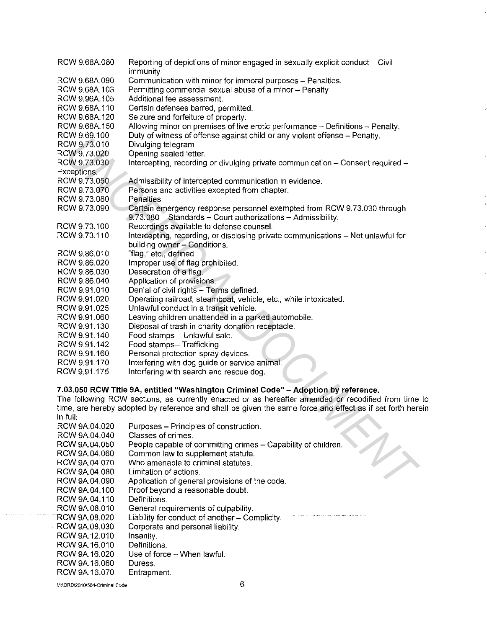| RCW 9.68A.080  | Reporting of depictions of minor engaged in sexually explicit conduct - Civil                           |
|----------------|---------------------------------------------------------------------------------------------------------|
|                |                                                                                                         |
|                | immunity.                                                                                               |
| RCW 9.68A.090  | Communication with minor for immoral purposes - Penalties.                                              |
| RCW 9.68A.103  | Permitting commercial sexual abuse of a minor - Penalty                                                 |
| RCW 9.96A.105  | Additional fee assessment.                                                                              |
| RCW 9.68A.110  | Certain defenses barred, permitted.                                                                     |
| RCW 9.68A.120  | Seizure and forfeiture of property.                                                                     |
| RCW 9.68A.150  | Allowing minor on premises of live erotic performance - Definitions - Penalty.                          |
| RCW 9.69.100   | Duty of witness of offense against child or any violent offense - Penalty.                              |
| RCW 9.73.010   | Divulging telegram.                                                                                     |
| RCW 9.73.020   | Opening sealed letter.                                                                                  |
| RCW 9.73.030   | Intercepting, recording or divulging private communication - Consent required -                         |
| Exceptions.    |                                                                                                         |
| RCW 9.73.050   | Admissibility of intercepted communication in evidence.                                                 |
| RCW 9.73.070   | Persons and activities excepted from chapter.                                                           |
| RCW 9.73.080   | Penalties.                                                                                              |
| RCW 9.73.090   | Certain emergency response personnel exempted from RCW 9.73.030 through                                 |
|                | 9.73.080 - Standards - Court authorizations - Admissibility.                                            |
| RCW 9.73.100   | Recordings available to defense counsel.                                                                |
| RCW 9.73.110   | Intercepting, recording, or disclosing private communications - Not unlawful for                        |
|                | building owner - Conditions.                                                                            |
| RCW 9.86.010   | "flag," etc., defined                                                                                   |
|                |                                                                                                         |
| RCW 9.86.020   | Improper use of flag prohibited.                                                                        |
| RCW 9.86.030   | Desecration of a flag.                                                                                  |
| RCW 9.86.040   | Application of provisions.                                                                              |
| RCW 9.91.010   | Denial of civil rights - Terms defined.                                                                 |
| RCW 9.91.020   | Operating railroad, steamboat, vehicle, etc., while intoxicated.                                        |
| RCW 9.91.025   | Unlawful conduct in a transit vehicle.                                                                  |
| RCW 9.91.060   | Leaving children unattended in a parked automobile.                                                     |
| RCW 9.91.130   | Disposal of trash in charity donation receptacle.                                                       |
| RCW 9.91 140   | Food stamps - Unlawful sale.                                                                            |
| RCW 9.91.142   | Food stamps-- Trafficking                                                                               |
| RCW 9.91.160   | Personal protection spray devices.                                                                      |
| RCW 9.91.170   | Interfering with dog guide or service animal.                                                           |
| RCW 9.91.175   | Interfering with search and rescue dog.                                                                 |
|                |                                                                                                         |
|                | 7.03.050 RCW Title 9A, entitled "Washington Criminal Code" - Adoption by reference.                     |
|                | The following RCW sections, as currently enacted or as hereafter amended or recodified from time        |
|                | time, are hereby adopted by reference and shall be given the same force and effect as if set forth here |
| in full:       |                                                                                                         |
| RCW 9A.04.020  | Purposes - Principles of construction.                                                                  |
| RCW 9A.04.040  | Classes of crimes.                                                                                      |
| RCW 9A.04.050  | People capable of committing crimes - Capability of children.                                           |
| RCW 9A.04.060  | Common law to supplement statute.                                                                       |
| RCW 9A.04.070  | Who amenable to criminal statutes.                                                                      |
| RCW 9A.04.080  | Limitation of actions.                                                                                  |
| RCW 9A.04.090  |                                                                                                         |
| DOM AA AA 400. | Application of general provisions of the code.<br>Droof bought a recognish staubt                       |

# **7 .03.050 RCW Title 9A, entitled "Washington Criminal Code" - Adoption by reference.**

| RCW 9A.04.020 | Purposes – Principles of construction.                        |
|---------------|---------------------------------------------------------------|
| RCW 9A.04.040 | Classes of crimes.                                            |
| RCW 9A 04.050 | People capable of committing crimes – Capability of children. |
| RCW 9A 04.060 | Common law to supplement statute.                             |
| RCW 9A.04.070 | Who amenable to criminal statutes.                            |
| RCW 9A.04.080 | Limitation of actions.                                        |
| RCW 9A 04,090 | Application of general provisions of the code.                |
| RCW 9A 04.100 | Proof beyond a reasonable doubt.                              |
| RCW 9A.04.110 | Definitions.                                                  |
| RCW 9A 08.010 | General requirements of culpability.                          |
| RCW 9A 08.020 | Liability for conduct of another - Complicity.                |
| RCW 9A.08.030 | Corporate and personal liability.                             |
| RCW 9A.12.010 | Insanity.                                                     |
| RCW 9A.16.010 | Definitions.                                                  |
| RCW 9A 16,020 | Use of force - When lawful.                                   |
| RCW 9A.16.060 | Duress.                                                       |
| RCW 9A.16.070 | Entrapment.                                                   |
|               |                                                               |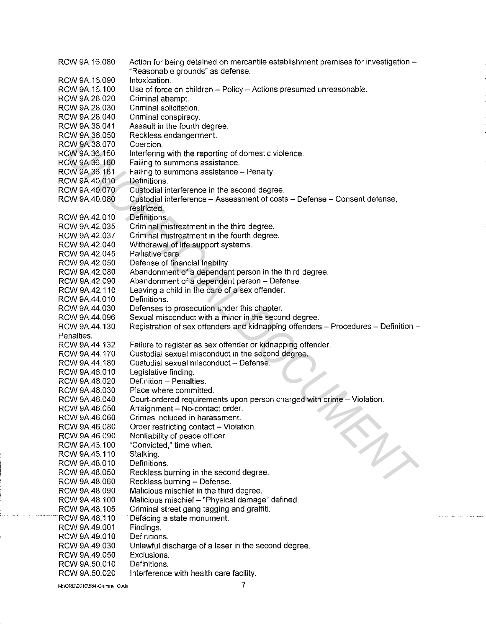| RCW 9A.16.080                  | Action for being detained on mercantile establishment premises for investigation - |
|--------------------------------|------------------------------------------------------------------------------------|
|                                | "Reasonable grounds" as defense.                                                   |
| RCW 9A.16.090                  | Intoxication.                                                                      |
| RCW 9A.16.100                  | Use of force on children - Policy - Actions presumed unreasonable.                 |
| RCW 9A.28.020                  | Criminal attempt.                                                                  |
| RCW 9A.28.030                  | Criminal solicitation.                                                             |
| RCW 9A.28.040                  | Criminal conspiracy.                                                               |
| RCW 9A.36.041                  | Assault in the fourth degree.                                                      |
| RCW 9A.36.050                  | Reckless endangerment.                                                             |
| RCW 9A.36.070                  | Coercion.                                                                          |
| RCW 9A.36.150                  | Interfering with the reporting of domestic violence.                               |
| RCW 9A.36.160                  | Failing to summons assistance.                                                     |
| RCW 9A.36.161                  | Failing to summons assistance - Penalty.                                           |
| RCW 9A.40.010                  | Definitions.                                                                       |
| RCW 9A.40.070                  | Custodial interference in the second degree.                                       |
| RCW 9A.40.080                  | Custodial interference - Assessment of costs - Defense - Consent defense,          |
|                                | restricted.                                                                        |
| RCW 9A.42.010                  | Definitions.                                                                       |
| RCW 9A.42.035                  | Criminal mistreatment in the third degree.                                         |
| RCW 9A.42.037                  | Criminal mistreatment in the fourth degree.                                        |
| RCW 9A.42.040                  | Withdrawal of life support systems.                                                |
| RCW 9A.42.045                  | Palliative care.                                                                   |
| RCW 9A.42.050                  | Defense of financial inability.                                                    |
| RCW 9A.42.080                  | Abandonment of a dependent person in the third degree.                             |
| RCW 9A.42.090                  | Abandonment of a dependent person - Defense.                                       |
| RCW 9A.42.110                  | Leaving a child in the care of a sex offender.                                     |
| RCW 9A.44.010                  | Definitions.                                                                       |
| RCW 9A.44.030                  | Defenses to prosecution under this chapter.                                        |
| RCW 9A.44.096                  | Sexual misconduct with a minor in the second degree.                               |
| RCW 9A.44.130                  | Registration of sex offenders and kidnapping offenders - Procedures - Definition - |
| Penalties.                     |                                                                                    |
| RCW 9A.44.132                  | Failure to register as sex offender or kidnapping offender.                        |
| RCW 9A.44.170                  | Custodial sexual misconduct in the second degree.                                  |
|                                | Custodial sexual misconduct - Defense.                                             |
| RCW 9A.44.180                  |                                                                                    |
| RCW 9A.46.010                  | Legislative finding.<br>Definition - Penalties.                                    |
| RCW 9A.46.020                  |                                                                                    |
| RCW 9A.46.030                  | Place where committed.                                                             |
| RCW 9A.46.040                  |                                                                                    |
| RCW 9A.46.050                  | Court-ordered requirements upon person charged with crime - Violation.             |
|                                | Arraignment - No-contact order.                                                    |
| RCW 9A.46.060                  | Crimes included in harassment.                                                     |
| RCW 9A.46.080                  | Order restricting contact - Violation.                                             |
| RCW 9A.46.090                  | Nonliability of peace officer.                                                     |
| RCW 9A.46.100                  | "Convicted," time when.                                                            |
| RCW 9A.46.110                  | Stalking.                                                                          |
| RCW 9A.48.010                  | Definitions.                                                                       |
| RCW 9A.48.050                  | Reckless burning in the second degree.                                             |
| RCW 9A.48.060                  | Reckless burning - Defense.                                                        |
| RCW 9A.48.090                  | Malicious mischief in the third degree.                                            |
| RCW 9A.48.100                  | Malicious mischief - "Physical damage" defined.                                    |
| RCW 9A.48.105                  | Criminal street gang tagging and graffiti.                                         |
| RCW 9A.48.110                  | Defacing a state monument.                                                         |
| RCW 9A.49.001                  | Findings.                                                                          |
| RCW 9A.49.010                  | Definitions.                                                                       |
| RCW 9A.49.030                  | Unlawful discharge of a laser in the second degree.                                |
| RCW 9A.49.050                  | Exclusions.                                                                        |
| RCW 9A.50.010<br>RCW 9A.50.020 | Definitions.<br>Interference with health care facility.                            |

**M:\ORD\2010\584-Criminal Code**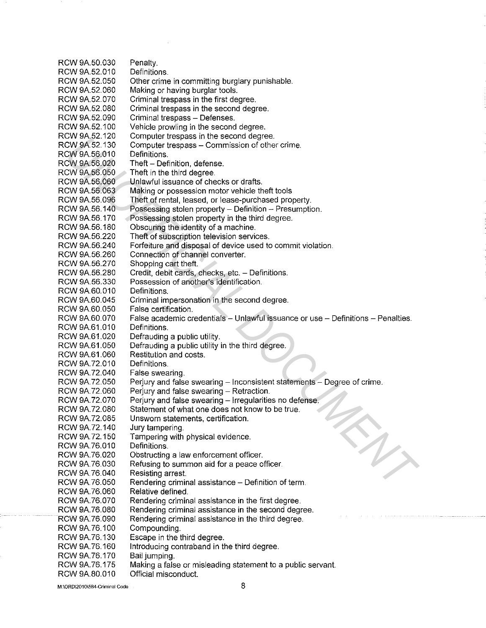RCW 9A.50.030 RCW 9A.52.010 RCW 9A.52.050 RCW 9A.52.060 RCW 9A.52.070 RCW 9A.52.080 RCW 9A.52.090 RCW 9A.52.100 RCW 9A.52.120 RCW 9A.52.130 RCW 9A.56.010 RCW 9A.56.020 RCW 9A.56.050 RCW 9A.56.060 RCW 9A.56.063 RCW 9A.56.096 RCW 9A.56.140 RCW 9A.56.170 RCW 9A.56.180 RCW 9A.56.220 RCW 9A.56.240 RCW 9A.56.260 RCW 9A.56.270 RCW 9A.56.280 RCW 9A.56.330 RCW 9A.60.010 RCW 9A.60.045 RCW 9A.60.050 RCW 9A.60.070 RCW 9A.61.010 RCW 9A.61.020 RCW 9A.61.050 RCW 9A.61.060 RCW 9A.72.010 RCW 9A.72.040 RCW 9A.72.050 RCW 9A.72.060 RCW 9A.72.070 RCW 9A.72.080 RCW 9A.72.085 RCW 9A.72.140 RCW 9A.72.150 RCW 9A.76.010 RCW 9A.76.020 RCW 9A.76.030 RCW 9A.76.040 RCW 9A.76.050 RCW 9A.76.060 RCW 9A.76.070 RCW 9A.76.080 RCW 9A.76.090 RCW 9A.76.100 RCW 9A. 76.130 RCW9A.76.160 RCW9A.76.170 RCW9A.76.175 RCW 9A.80.010 Penalty. Definitions. Other crime in committing burglary punishable. Making or having burglar tools. Criminal trespass in the first degree. Criminal trespass in the second degree. Criminal trespass - Defenses. Vehicle prowling in the second degree. Computer trespass in the second degree. Computer trespass - Commission of other crime. Definitions. Theft - Definition, defense. Theft in the third degree. Unlawful issuance of checks or drafts. Making or possession motor vehicle theft tools Theft of rental, leased, or lease-purchased property. Possessing stolen property - Definition - Presumption. Possessing stolen property in the third degree. Obscuring the identity of a machine. Theft of subscription television services. Forfeiture and disposal of device used to commit violation. Connection of channel converter. Shopping cart theft. Credit, debit cards, checks, etc. - Definitions. Possession of another's identification. Definitions. Criminal impersonation in the second degree. False certification. False academic credentials - Unlawful issuance or use - Definitions - Penalties. **Definitions** Defrauding a public utility. Defrauding a public utility in the third degree. Restitution and costs. Definitions. False swearing. Perjury and false swearing - Inconsistent statements - Degree of crime. Perjury and false swearing  $-$  Retraction. Perjury and false swearing - Irregularities no defense. Statement of what one does not know to be true. Unsworn statements, certification. Jury tampering. Tampering with physical evidence. Definitions. Obstructing a law enforcement officer. Refusing to summon aid for a peace officer. Resisting arrest. Rendering criminal assistance - Definition of term. Relative defined. Rendering criminal assistance in the first degree. Rendering criminal assistance in the second degree. Rendering criminal assistance in the third degree. Compounding. Escape in the third degree. Introducing contraband in the third degree. Bail jumping. Making a false or misleading statement to a public servant. Official misconduct. CW 9A 22 120 Computer trespass in cerescion coejeve.<br>CW 9A 22 130 Computer trespass in Commission of other crime.<br>CW 9A 36 010 Theft in the third degree.<br>CW 9A 36 020 Theft in Detrivition, defense.<br>CW 9A 36 020 Theft in De

**M:\ORD\2010\584-Crlminal Code**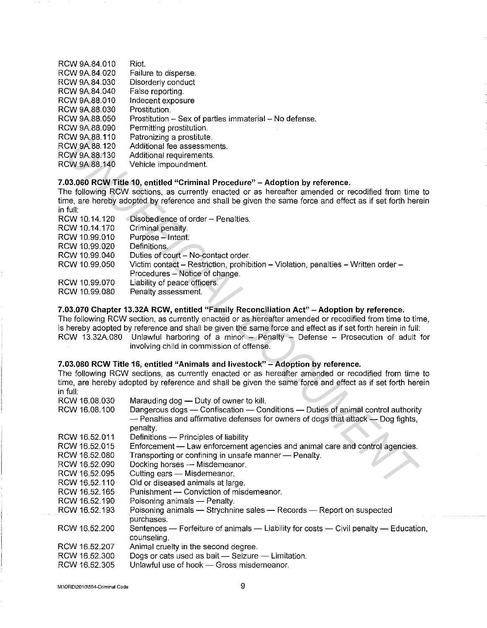- RCW 9A.84.010 Riot.
- RCW 9A.84 020 RCW 9A.84.030 Failure to disperse. Disorderly conduct
- RCW 9A.84.040 False reporting.
- RCW 9A.88.010 Indecent exposure
- RCW 9A.88.030 Prostitution.
- RCW 9A.88.050 Prostitution  $-$  Sex of parties immaterial  $-$  No defense.
- RCW 9A.88.090 Permitting prostitution.
- RCW 9A.88.110 Patronizing a prostitute.
- RCW 9A.88.120 Additional fee assessments.
- RCW 9A.88.130 Additional requirements.
- RCW 9A.88.140 Vehicle impoundment.

# **7.03.060 RCW Title 10, entitled "Criminal Procedure" -Adoption by reference.**

| RCW 10.14.120 | Disobedience of order - Penalties.                                                 |
|---------------|------------------------------------------------------------------------------------|
| RCW 10.14.170 | Criminal penalty.                                                                  |
| RCW 10.99.010 | Purpose - Intent.                                                                  |
| RCW 10.99.020 | Definitions.                                                                       |
| RCW 10.99.040 | Duties of court - No-contact order.                                                |
| RCW 10.99.050 | Victim contact – Restriction, prohibition – Violation, penalties – Written order – |
|               | Procedures - Notice of change.                                                     |
| RCW 10.99.070 | Liability of peace officers.                                                       |
| RCW 10.99.080 | Penalty assessment.                                                                |

# 7.03.070 Chapter 13.32A RCW, entitled "Family Reconciliation Act" - Adoption by reference.

# **7.03.080 RCW Title 16, entitled "Animals and livestock" -Adoption by reference.**

| <b>RUW 9A.88.110</b>           | Patronizing a prostitute.                                                                                   |
|--------------------------------|-------------------------------------------------------------------------------------------------------------|
| RCW 9A.88.120                  | Additional fee assessments.                                                                                 |
| RCW 9A.88.130                  | Additional requirements.                                                                                    |
| RCW 9A.88.140                  | Vehicle impoundment.                                                                                        |
|                                |                                                                                                             |
|                                | 7.03.060 RCW Title 10, entitled "Criminal Procedure" - Adoption by reference.                               |
|                                | The following RCW sections, as currently enacted or as hereafter amended or recodified from time to         |
|                                | time, are hereby adopted by reference and shall be given the same force and effect as if set forth herein   |
| in full:                       |                                                                                                             |
| RCW 10.14.120                  | Disobedience of order - Penalties.                                                                          |
| RCW 10.14.170                  | Criminal penalty.                                                                                           |
| RCW 10.99.010                  | Purpose - Intent.                                                                                           |
| RCW 10.99.020                  | Definitions.                                                                                                |
| RCW 10.99.040                  | Duties of court - No-contact order.                                                                         |
|                                |                                                                                                             |
| RCW 10.99.050                  | Victim contact - Restriction, prohibition - Violation, penalties - Written order -                          |
|                                | Procedures – Notice of change.                                                                              |
| RCW 10.99.070                  | Liability of peace officers.                                                                                |
| RCW 10.99.080                  | Penalty assessment.                                                                                         |
|                                |                                                                                                             |
|                                | 7.03.070 Chapter 13.32A RCW, entitled "Family Reconciliation Act" - Adoption by reference.                  |
|                                | The following RCW section, as currently enacted or as hereafter amended or recodified from time to time,    |
|                                | is hereby adopted by reference and shall be given the same force and effect as if set forth herein in full: |
|                                | RCW 13.32A.080 Unlawful harboring of a minor - Penalty - Defense - Prosecution of adult for                 |
|                                | involving child in commission of offense.                                                                   |
|                                |                                                                                                             |
|                                | 7.03.080 RCW Title 16, entitled "Animals and livestock" – Adoption by reference.                            |
|                                | The following RCW sections, as currently enacted or as hereafter amended or recodified from time to         |
|                                | time, are hereby adopted by reference and shall be given the same force and effect as if set forth herein   |
| in full:                       |                                                                                                             |
| RCW 16.08.030                  | Marauding dog - Duty of owner to kill.                                                                      |
| RCW 16.08.100                  | Dangerous dogs - Confiscation - Conditions - Duties of animal control authority                             |
|                                | $-$ Penalties and affirmative defenses for owners of dogs that attack $-$ Dog fights,                       |
|                                | penalty.                                                                                                    |
| RCW 16.52.011                  | Definitions - Principles of liability                                                                       |
| RCW 16.52.015                  | Enforcement - Law enforcement agencies and animal care and control agencies.                                |
| RCW 16.52.080                  | Transporting or confining in unsafe manner - Penalty.                                                       |
| RCW 16.52.090                  | Docking horses - Misdemeanor.                                                                               |
| RCW 16.52.095                  | Cutting ears - Misdemeanor.                                                                                 |
| RCW 16.52.110                  | Old or diseased animals at large.                                                                           |
| RCW 16.52.165                  | Punishment - Conviction of misdemeanor.                                                                     |
| RCW 16.52.190                  | Poisoning animals - Penalty.                                                                                |
| RCW 16.52.193                  | Poisoning animals - Strychnine sales - Records - Report on suspected                                        |
|                                |                                                                                                             |
|                                | purchases.                                                                                                  |
| RCW 16.52.200                  | Sentences — Forfeiture of animals — Liability for costs — Civil penalty — Education,                        |
|                                |                                                                                                             |
|                                | counseling.                                                                                                 |
| RCW 16.52.207                  | Animal cruelty in the second degree.                                                                        |
| RCW 16.52.300<br>RCW 16.52.305 | Dogs or cats used as bait - Seizure - Limitation.<br>Unlawful use of hook - Gross misdemeanor.              |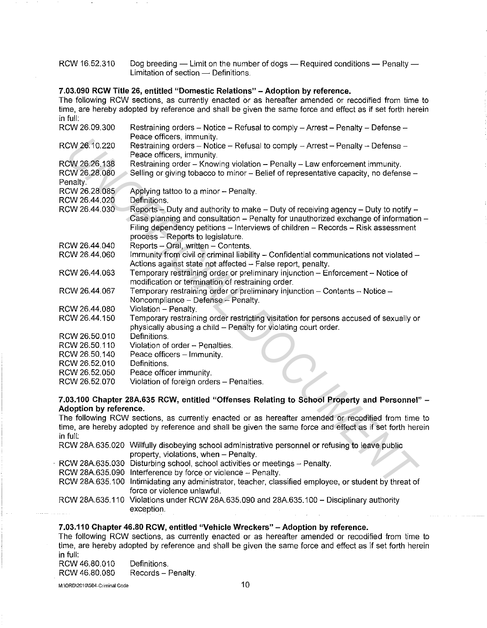| RCW 16.52.310 | Dog breeding — Limit on the number of dogs — Required conditions — Penalty — |
|---------------|------------------------------------------------------------------------------|
|               | Limitation of section — Definitions.                                         |

### **7.03.090 RCW Title 26, entitled "Domestic Relations" - Adoption by reference.**

The following RCW sections. as currently enacted or as hereafter amended or recodified from time to time, are hereby adopted by reference and shall be given the same force and effect as if set forth herein in full: RCW 26.09.300 RCW 26.10.220 RCW 26.26.138 RCW 26.28.080 Penalty. RCW 26.28.085 RCW 26.44.020 RCW 26.44.030 RCW 26.44.040 RCW 26.44.060 RCW 26.44.063 RCW 26.44 067 RCW 26.44.080 RCW 26.44.150 RCW 26.50.010 RCW 26.50.110 RCW 26.50.140 RCW 26.52.010 RCW 26.52.050 RCW 26.52.070 Restraining orders  $-$  Notice  $-$  Refusal to comply  $-$  Arrest  $-$  Penalty  $-$  Defense  $-$ Peace officers, immunity. Restraining orders  $-$  Notice  $-$  Refusal to comply  $-$  Arrest  $-$  Penalty  $-$  Defense  $-$ Peace officers, immunity. Restraining order - Knowing violation - Penalty - Law enforcement immunity. Selling or giving tobacco to minor - Belief of representative capacity, no defense -Applying tattoo to a minor - Penalty. Definitions.  $Reports - Duty$  and authority to make  $- Duty$  of receiving agency  $- Duty$  to notify  $-$ Case planning and consultation  $-$  Penalty for unauthorized exchange of information  $-$ Filing dependency petitions - Interviews of children - Records - Risk assessment process - Reports to legislature. Reports - Oral, written - Contents. Immunity from civil or criminal liability - Confidential communications not violated -Actions against state not affected - False report, penalty. Temporary restraining order or preliminary injunction - Enforcement - Notice of modification or termination of restraining order. Temporary restraining order or preliminary injunction - Contents - Notice -Noncompliance - Defense - Penalty. Violation - Penalty. Temporary restraining order restricting visitation for persons accused of sexually or physically abusing a child - Penalty for violating court order. **Definitions** Violation of order - Penalties. Peace officers - Immunity. Definitions. Peace officer immunity. Violation of foreign orders - Penalties. CW 26.10.220 Feater emerge methods, infiniting<br>
CW 26.50.21 Feater infiniting violation - Refusal to comply - Arrest - Penalty - Defense -<br>
DV 26.26.138 Featraining order - Knowing violation - Penalty - Law enforcement imm

### **7.03.100 Chapter 28A.635 RCW, entitled "Offenses Relating to School Property and Personnel"** - **Adoption by reference.**

The following RCW sections, as currently enacted or as hereafter amended or recodified from time to time, are hereby adopted by reference and shall be given the same force and effect as if set forth herein in full:

| RCW 28A.635.020 Willfully disobeying school administrative personnel or refusing to leave public      |
|-------------------------------------------------------------------------------------------------------|
| property, violations, when - Penalty.                                                                 |
| - RCW 28A.635.030 Disturbing school, school activities or meetings - Penalty.                         |
| RCW 28A.635.090 Interference by force or violence - Penalty.                                          |
| RCW 28A.635.100 Intimidating any administrator, teacher, classified employee, or student by threat of |
| force or violence unlawful.                                                                           |
| RCW 28A.635.110 Violations under RCW 28A.635.090 and 28A.635.100 - Disciplinary authority             |
| exception.                                                                                            |
|                                                                                                       |

# **7.03.110 Chapter 46.80 RCW, entitled "Vehicle Wreckers" -Adoption by reference.**

The following RCW sections, as currently enacted or as hereafter amended or recodified from time to time, are hereby adopted by reference and shall be given the same force and effect as if set forth herein in full:

RCW 46.80.010 RCW 46.80.080 Definitions. Records - Penalty.

M:\ORD\2010\584~Criminal **Code**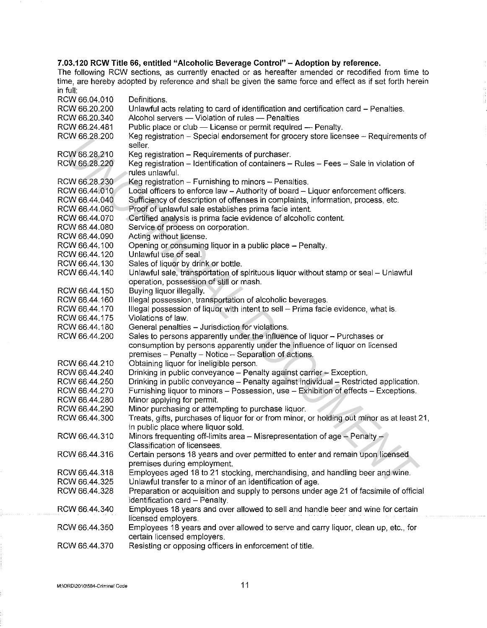# **7.03.120 RCW Title 66, entitled "Alcoholic Beverage Control" -Adoption by reference.**

| RCW 66.04.010 | Definitions.                                                                               |
|---------------|--------------------------------------------------------------------------------------------|
| RCW 66.20.200 | Unlawful acts relating to card of identification and certification card - Penalties.       |
| RCW 66.20.340 | Alcohol servers - Violation of rules - Penalties                                           |
| RCW 66.24.481 | Public place or club - License or permit required - Penalty.                               |
| RCW 66.28.200 | Keg registration - Special endorsement for grocery store licensee - Requirements of        |
|               | seller.                                                                                    |
| RCW 66.28.210 | Keg registration - Requirements of purchaser.                                              |
| RCW 66.28.220 | Keg registration - Identification of containers - Rules - Fees - Sale in violation of      |
|               | rules unlawful.                                                                            |
| RCW 66.28.230 | Keg registration $-$ Furnishing to minors $-$ Penalties.                                   |
| RCW 66.44.010 | Local officers to enforce law - Authority of board - Liquor enforcement officers.          |
| RCW 66.44.040 | Sufficiency of description of offenses in complaints, information, process, etc.           |
| RCW 66.44.060 | Proof of unlawful sale establishes prima facie intent.                                     |
| RCW 66.44.070 | Certified analysis is prima facie evidence of alcoholic content.                           |
| RCW 66.44.080 | Service of process on corporation.                                                         |
| RCW 66.44.090 | Acting without license.                                                                    |
| RCW 66.44.100 | Opening or consuming liquor in a public place - Penalty.                                   |
| RCW 66.44.120 | Unlawful use of seal.                                                                      |
| RCW 66.44.130 | Sales of liquor by drink or bottle.                                                        |
| RCW 66.44.140 | Unlawful sale, transportation of spirituous liquor without stamp or seal - Unlawful        |
|               | operation, possession of still or mash.                                                    |
| RCW 66.44.150 | Buying liquor illegally.                                                                   |
| RCW 66.44.160 | Illegal possession, transportation of alcoholic beverages.                                 |
| RCW 66 44 170 | Illegal possession of liquor with intent to sell - Prima facie evidence, what is.          |
| RCW 66.44.175 | Violations of law.                                                                         |
| RCW 66.44.180 | General penalties - Jurisdiction for violations.                                           |
| RCW 66.44.200 | Sales to persons apparently under the influence of liquor - Purchases or                   |
|               | consumption by persons apparently under the influence of liquor on licensed                |
|               | premises - Penalty - Notice - Separation of actions.                                       |
| RCW 66.44.210 | Obtaining liquor for ineligible person.                                                    |
| RCW 66.44.240 | Drinking in public conveyance - Penalty against carrier - Exception.                       |
| RCW 66.44.250 | Drinking in public conveyance - Penalty against individual - Restricted application.       |
| RCW 66.44.270 | Furnishing liquor to minors - Possession, use - Exhibition of effects - Exceptions.        |
| RCW 66.44.280 | Minor applying for permit.                                                                 |
| RCW 66.44.290 | Minor purchasing or attempting to purchase liquor.                                         |
| RCW 66.44.300 | Treats, gifts, purchases of liquor for or from minor, or holding out minor as at least 21, |
|               | in public place where liquor sold.                                                         |
| RCW 66.44.310 | Minors frequenting off-limits area - Misrepresentation of age - Penalty -                  |
|               | Classification of licensees.                                                               |
| RCW 66.44.316 | Certain persons 18 years and over permitted to enter and remain upon licensed              |
|               | premises during employment.                                                                |
| RCW 66.44.318 | Employees aged 18 to 21 stocking, merchandising, and handling beer and wine.               |
| RCW 66 44.325 | Unlawful transfer to a minor of an identification of age.                                  |
| RCW 66.44.328 | Preparation or acquisition and supply to persons under age 21 of facsimile of official     |
|               | identification card - Penalty.                                                             |
| RCW 66.44.340 | Employees 18 years and over allowed to sell and handle beer and wine for certain           |
|               | licensed employers.                                                                        |
| RCW 66.44.350 | Employees 18 years and over allowed to serve and carry liquor, clean up, etc., for         |
|               | certain licensed employers.                                                                |
| RCW 66.44.370 | Resisting or opposing officers in enforcement of title.                                    |
|               |                                                                                            |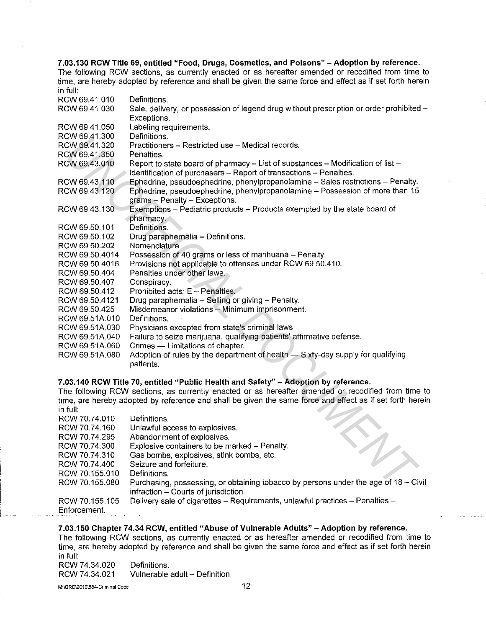**7.03.130 RCW Title 69, entitled "Food, Drugs, Cosmetics, and Poisons" - Adoption by reference.**  The following RCW sections, as currently enacted or as hereafter amended or recodified from time to time, are hereby adopted by reference and shall be given the same force and effect as if set forth herein in full:

| RCW 69.41.010  | Definitions.                                                                                              |
|----------------|-----------------------------------------------------------------------------------------------------------|
| RCW 69.41.030  | Sale, delivery, or possession of legend drug without prescription or order prohibited -                   |
|                | Exceptions.                                                                                               |
| RCW 69.41.050  | Labeling requirements.                                                                                    |
| RCW 69.41.300  | Definitions.                                                                                              |
| RCW 69.41.320  | Practitioners - Restricted use - Medical records.                                                         |
| RCW 69.41.350  | Penalties.                                                                                                |
| RCW 69.43.010  | Report to state board of pharmacy - List of substances - Modification of list -                           |
|                | Identification of purchasers - Report of transactions - Penalties.                                        |
| RCW 69.43.110  | Ephedrine, pseudoephedrine, phenylpropanolamine - Sales restrictions - Penalty.                           |
| RCW 69.43.120  | Ephedrine, pseudoephedrine, phenylpropanolamine - Possession of more than 15                              |
|                | grams - Penalty - Exceptions.                                                                             |
| RCW 69.43.130  | Exemptions - Pediatric products - Products exempted by the state board of                                 |
|                | pharmacy.                                                                                                 |
| RCW 69.50.101  | Definitions.                                                                                              |
| RCW 69.50.102  | Drug paraphernalia - Definitions.                                                                         |
| RCW 69.50.202  | Nomenclature.                                                                                             |
| RCW 69.50.4014 | Possession of 40 grams or less of marihuana - Penalty.                                                    |
| RCW 69.50.4016 | Provisions not applicable to offenses under RCW 69.50.410.                                                |
| RCW 69.50.404  | Penalties under other laws.                                                                               |
| RCW 69.50.407  | Conspiracy.                                                                                               |
| RCW 69.50.412  | Prohibited acts: E - Penalties.                                                                           |
| RCW 69.50.4121 | Drug paraphernalia - Selling or giving - Penalty.                                                         |
| RCW 69.50.425  | Misdemeanor violations - Minimum imprisonment.                                                            |
| RCW 69.51A.010 | Definitions.                                                                                              |
| RCW 69.51A.030 | Physicians excepted from state's criminal laws                                                            |
| RCW 69.51A.040 | Failure to seize marijuana, qualifying patients' affirmative defense.                                     |
| RCW 69.51A.060 | Crimes - Limitations of chapter.                                                                          |
| RCW 69.51A.080 | Adoption of rules by the department of health - Sixty-day supply for qualifying                           |
|                | patients.                                                                                                 |
|                |                                                                                                           |
|                | 7.03.140 RCW Title 70, entitled "Public Health and Safety" - Adoption by reference.                       |
|                | The following RCW sections, as currently enacted or as hereafter amended or recodified from time to       |
|                | time, are hereby adopted by reference and shall be given the same force and effect as if set forth herein |
| in full:       |                                                                                                           |
| RCW 70.74.010  | Definitions.                                                                                              |
| RCW 70.74.160  | Unlawful access to explosives.                                                                            |
| RCW 70.74.295  | Abandonment of explosives.                                                                                |
| RCW 70.74.300  | Explosive containers to be marked - Penalty.                                                              |
| RCW 70.74.310  | Gas bombs, explosives, stink bombs, etc.                                                                  |
| RCW 70.74.400  | Seizure and forfeiture.                                                                                   |
| RCW 70.155.010 | Definitions.                                                                                              |
| RCW 70.155.080 | Purchasing, possessing, or obtaining tobacco by persons under the age of 18 - Civil                       |
|                |                                                                                                           |

# **7.03.140 RCW Title 70, entitled "Public Health and Safety" -Adoption by reference.**

| RCW 70.74.010  | Definitions.                                                                        |
|----------------|-------------------------------------------------------------------------------------|
| RCW 70.74.160  | Unlawful access to explosives.                                                      |
| RCW 70.74.295  | Abandonment of explosives.                                                          |
| RCW 70.74.300  | Explosive containers to be marked - Penalty.                                        |
| RCW 70.74.310  | Gas bombs, explosives, stink bombs, etc.                                            |
| RCW 70.74.400  | Seizure and forfeiture.                                                             |
| RCW 70,155.010 | Definitions.                                                                        |
| RCW 70.155.080 | Purchasing, possessing, or obtaining tobacco by persons under the age of 18 - Civil |
|                | infraction - Courts of jurisdiction.                                                |
| RCW 70.155.105 | Delivery sale of cigarettes - Requirements, unlawful practices - Penalties -        |
| Enforcement.   |                                                                                     |

# **7.03.150 Chapter 74.34 RCW, entitled "Abuse of Vulnerable Adults" -Adoption by reference.**

The following RCW sections, as currently enacted or as hereafter amended or recodified from time to time, are hereby adopted by reference and shall be given the same force and effect as if set forth herein in full:

RCW 74.34.020 RCW 74.34.021 Definitions. Vulnerable adult - Definition.